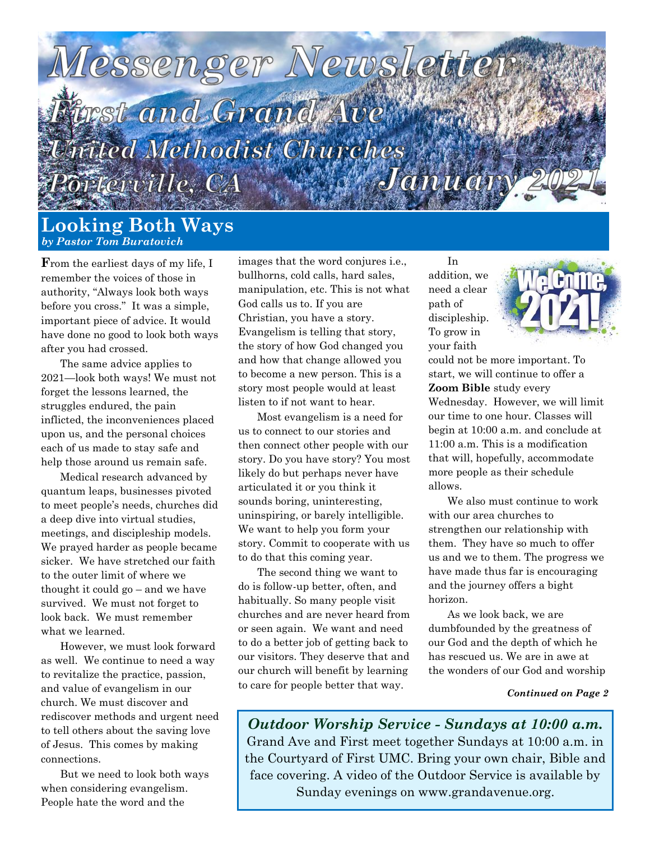

# **Looking Both Ways** *by Pastor Tom Buratovich*

**F**rom the earliest days of my life, I remember the voices of those in authority, "Always look both ways before you cross." It was a simple, important piece of advice. It would have done no good to look both ways after you had crossed.

The same advice applies to 2021—look both ways! We must not forget the lessons learned, the struggles endured, the pain inflicted, the inconveniences placed upon us, and the personal choices each of us made to stay safe and help those around us remain safe.

Medical research advanced by quantum leaps, businesses pivoted to meet people's needs, churches did a deep dive into virtual studies, meetings, and discipleship models. We prayed harder as people became sicker. We have stretched our faith to the outer limit of where we thought it could go – and we have survived. We must not forget to look back. We must remember what we learned.

However, we must look forward as well. We continue to need a way to revitalize the practice, passion, and value of evangelism in our church. We must discover and rediscover methods and urgent need to tell others about the saving love of Jesus. This comes by making connections.

But we need to look both ways when considering evangelism. People hate the word and the

images that the word conjures i.e., bullhorns, cold calls, hard sales, manipulation, etc. This is not what God calls us to. If you are Christian, you have a story. Evangelism is telling that story, the story of how God changed you and how that change allowed you to become a new person. This is a story most people would at least listen to if not want to hear.

Most evangelism is a need for us to connect to our stories and then connect other people with our story. Do you have story? You most likely do but perhaps never have articulated it or you think it sounds boring, uninteresting, uninspiring, or barely intelligible. We want to help you form your story. Commit to cooperate with us to do that this coming year.

The second thing we want to do is follow-up better, often, and habitually. So many people visit churches and are never heard from or seen again. We want and need to do a better job of getting back to our visitors. They deserve that and our church will benefit by learning to care for people better that way.

In addition, we need a clear path of discipleship. To grow in your faith



could not be more important. To start, we will continue to offer a **Zoom Bible** study every Wednesday. However, we will limit our time to one hour. Classes will begin at 10:00 a.m. and conclude at 11:00 a.m. This is a modification that will, hopefully, accommodate more people as their schedule allows.

We also must continue to work with our area churches to strengthen our relationship with them. They have so much to offer us and we to them. The progress we have made thus far is encouraging and the journey offers a bight horizon.

As we look back, we are dumbfounded by the greatness of our God and the depth of which he has rescued us. We are in awe at the wonders of our God and worship

#### *Continued on Page 2*

*Outdoor Worship Service - Sundays at 10:00 a.m.* Grand Ave and First meet together Sundays at 10:00 a.m. in the Courtyard of First UMC. Bring your own chair, Bible and face covering. A video of the Outdoor Service is available by Sunday evenings on www.grandavenue.org.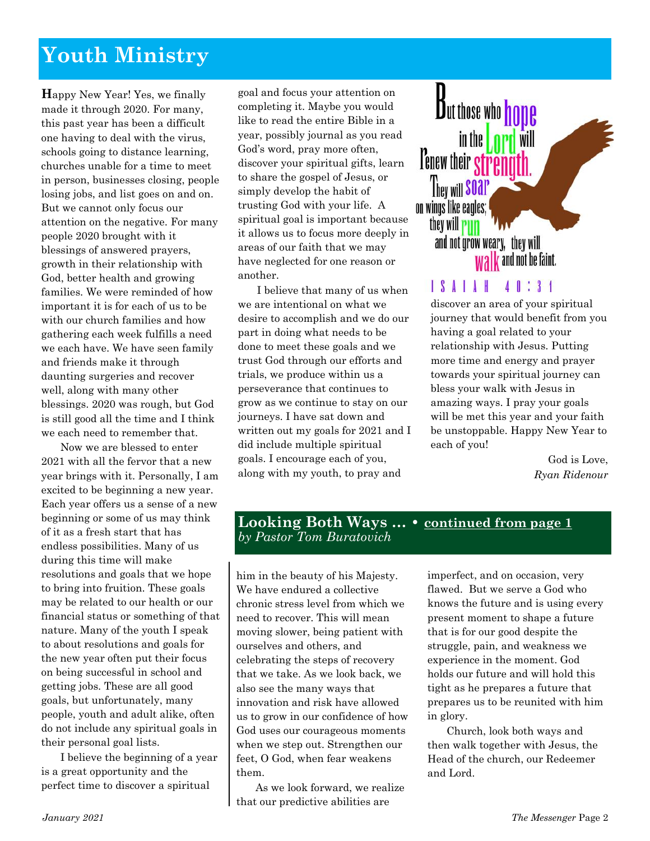# **Youth Ministry**

**H**appy New Year! Yes, we finally made it through 2020. For many, this past year has been a difficult one having to deal with the virus, schools going to distance learning, churches unable for a time to meet in person, businesses closing, people losing jobs, and list goes on and on. But we cannot only focus our attention on the negative. For many people 2020 brought with it blessings of answered prayers, growth in their relationship with God, better health and growing families. We were reminded of how important it is for each of us to be with our church families and how gathering each week fulfills a need we each have. We have seen family and friends make it through daunting surgeries and recover well, along with many other blessings. 2020 was rough, but God is still good all the time and I think we each need to remember that.

Now we are blessed to enter 2021 with all the fervor that a new year brings with it. Personally, I am excited to be beginning a new year. Each year offers us a sense of a new beginning or some of us may think of it as a fresh start that has endless possibilities. Many of us during this time will make resolutions and goals that we hope to bring into fruition. These goals may be related to our health or our financial status or something of that nature. Many of the youth I speak to about resolutions and goals for the new year often put their focus on being successful in school and getting jobs. These are all good goals, but unfortunately, many people, youth and adult alike, often do not include any spiritual goals in their personal goal lists.

I believe the beginning of a year is a great opportunity and the perfect time to discover a spiritual

goal and focus your attention on completing it. Maybe you would like to read the entire Bible in a year, possibly journal as you read God's word, pray more often, discover your spiritual gifts, learn to share the gospel of Jesus, or simply develop the habit of trusting God with your life. A spiritual goal is important because it allows us to focus more deeply in areas of our faith that we may have neglected for one reason or another.

I believe that many of us when we are intentional on what we desire to accomplish and we do our part in doing what needs to be done to meet these goals and we trust God through our efforts and trials, we produce within us a perseverance that continues to grow as we continue to stay on our journeys. I have sat down and written out my goals for 2021 and I did include multiple spiritual goals. I encourage each of you, along with my youth, to pray and



#### **ISAIAH**  $4 1 : 3 1$

discover an area of your spiritual journey that would benefit from you having a goal related to your relationship with Jesus. Putting more time and energy and prayer towards your spiritual journey can bless your walk with Jesus in amazing ways. I pray your goals will be met this year and your faith be unstoppable. Happy New Year to each of you!

> God is Love, *Ryan Ridenour*

## **Looking Both Ways … • continued from page 1** *by Pastor Tom Buratovich*

him in the beauty of his Majesty. We have endured a collective chronic stress level from which we need to recover. This will mean moving slower, being patient with ourselves and others, and celebrating the steps of recovery that we take. As we look back, we also see the many ways that innovation and risk have allowed us to grow in our confidence of how God uses our courageous moments when we step out. Strengthen our feet, O God, when fear weakens them.

As we look forward, we realize that our predictive abilities are

imperfect, and on occasion, very flawed. But we serve a God who knows the future and is using every present moment to shape a future that is for our good despite the struggle, pain, and weakness we experience in the moment. God holds our future and will hold this tight as he prepares a future that prepares us to be reunited with him in glory.

Church, look both ways and then walk together with Jesus, the Head of the church, our Redeemer and Lord.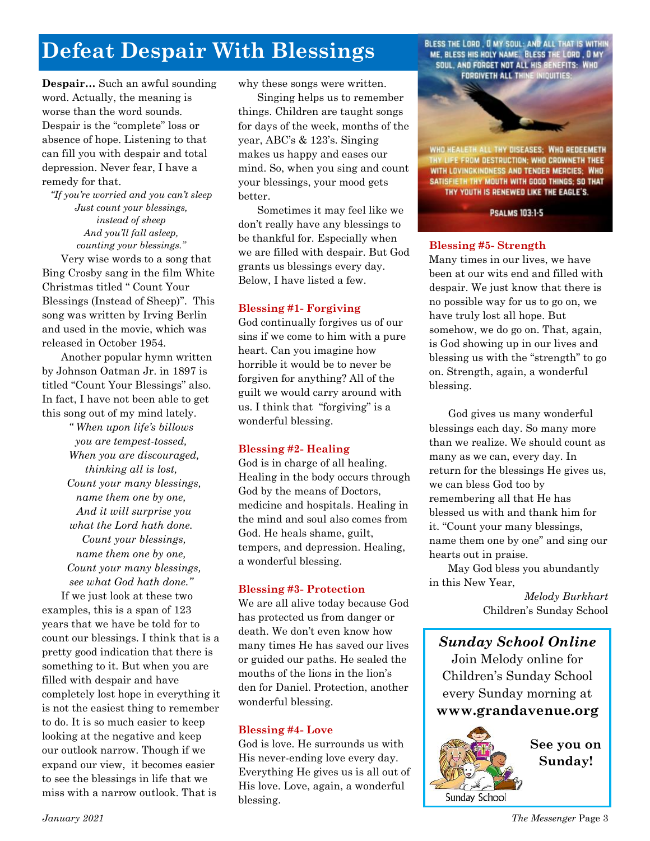# **Defeat Despair With Blessings**

**Despair…** Such an awful sounding word. Actually, the meaning is worse than the word sounds. Despair is the "complete" loss or absence of hope. Listening to that can fill you with despair and total depression. Never fear, I have a remedy for that.

*"If you're worried and you can't sleep Just count your blessings, instead of sheep And you'll fall asleep, counting your blessings."* 

Very wise words to a song that Bing Crosby sang in the film White Christmas titled " Count Your Blessings (Instead of Sheep)". This song was written by Irving Berlin and used in the movie, which was released in October 1954.

Another popular hymn written by Johnson Oatman Jr. in 1897 is titled "Count Your Blessings" also. In fact, I have not been able to get this song out of my mind lately.

> *" When upon life's billows you are tempest-tossed, When you are discouraged, thinking all is lost, Count your many blessings, name them one by one, And it will surprise you what the Lord hath done. Count your blessings, name them one by one, Count your many blessings, see what God hath done."*

If we just look at these two examples, this is a span of 123 years that we have be told for to count our blessings. I think that is a pretty good indication that there is something to it. But when you are filled with despair and have completely lost hope in everything it is not the easiest thing to remember to do. It is so much easier to keep looking at the negative and keep our outlook narrow. Though if we expand our view, it becomes easier to see the blessings in life that we miss with a narrow outlook. That is

why these songs were written.

Singing helps us to remember things. Children are taught songs for days of the week, months of the year, ABC's & 123's. Singing makes us happy and eases our mind. So, when you sing and count your blessings, your mood gets better.

Sometimes it may feel like we don't really have any blessings to be thankful for. Especially when we are filled with despair. But God grants us blessings every day. Below, I have listed a few.

#### **Blessing #1- Forgiving**

God continually forgives us of our sins if we come to him with a pure heart. Can you imagine how horrible it would be to never be forgiven for anything? All of the guilt we would carry around with us. I think that "forgiving" is a wonderful blessing.

#### **Blessing #2- Healing**

God is in charge of all healing. Healing in the body occurs through God by the means of Doctors, medicine and hospitals. Healing in the mind and soul also comes from God. He heals shame, guilt, tempers, and depression. Healing, a wonderful blessing.

### **Blessing #3- Protection**

We are all alive today because God has protected us from danger or death. We don't even know how many times He has saved our lives or guided our paths. He sealed the mouths of the lions in the lion's den for Daniel. Protection, another wonderful blessing.

### **Blessing #4- Love**

God is love. He surrounds us with His never-ending love every day. Everything He gives us is all out of His love. Love, again, a wonderful blessing.

BLESS THE LORD, O MY SOUL: AND ALL THAT IS WITHIN ME, BLESS HIS HOLY NAME. BLESS THE LORD, O MY SOUL, AND FORGET NOT ALL HIS BENEFITS: WHO FORGIVETH ALL THINE INIQUITIES:



### **Blessing #5- Strength**

Many times in our lives, we have been at our wits end and filled with despair. We just know that there is no possible way for us to go on, we have truly lost all hope. But somehow, we do go on. That, again, is God showing up in our lives and blessing us with the "strength" to go on. Strength, again, a wonderful blessing.

God gives us many wonderful blessings each day. So many more than we realize. We should count as many as we can, every day. In return for the blessings He gives us, we can bless God too by remembering all that He has blessed us with and thank him for it. "Count your many blessings, name them one by one" and sing our hearts out in praise.

May God bless you abundantly in this New Year,

> *Melody Burkhart* Children's Sunday School

*Sunday School Online* Join Melody online for Children's Sunday School every Sunday morning at **www[.grandavenue.org](http://grandavenue.org/)**



**See you on Sunday!**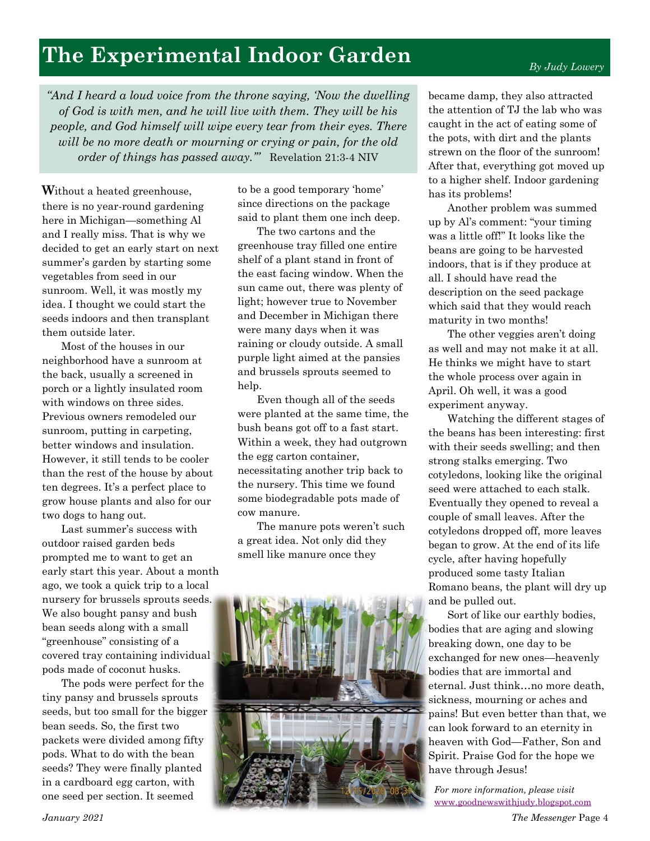# **The Experimental Indoor Garden**

*"And I heard a loud voice from the throne saying, 'Now the dwelling of God is with men, and he will live with them. They will be his people, and God himself will wipe every tear from their eyes. There will be no more death or mourning or crying or pain, for the old order of things has passed away.'"* Revelation 21:3-4 NIV

**W**ithout a heated greenhouse, there is no year-round gardening here in Michigan—something Al and I really miss. That is why we decided to get an early start on next summer's garden by starting some vegetables from seed in our sunroom. Well, it was mostly my idea. I thought we could start the seeds indoors and then transplant them outside later.

Most of the houses in our neighborhood have a sunroom at the back, usually a screened in porch or a lightly insulated room with windows on three sides. Previous owners remodeled our sunroom, putting in carpeting, better windows and insulation. However, it still tends to be cooler than the rest of the house by about ten degrees. It's a perfect place to grow house plants and also for our two dogs to hang out.

Last summer's success with outdoor raised garden beds prompted me to want to get an early start this year. About a month ago, we took a quick trip to a local nursery for brussels sprouts seeds. We also bought pansy and bush bean seeds along with a small "greenhouse" consisting of a covered tray containing individual pods made of coconut husks.

The pods were perfect for the tiny pansy and brussels sprouts seeds, but too small for the bigger bean seeds. So, the first two packets were divided among fifty pods. What to do with the bean seeds? They were finally planted in a cardboard egg carton, with one seed per section. It seemed

to be a good temporary 'home' since directions on the package said to plant them one inch deep.

The two cartons and the greenhouse tray filled one entire shelf of a plant stand in front of the east facing window. When the sun came out, there was plenty of light; however true to November and December in Michigan there were many days when it was raining or cloudy outside. A small purple light aimed at the pansies and brussels sprouts seemed to help.

Even though all of the seeds were planted at the same time, the bush beans got off to a fast start. Within a week, they had outgrown the egg carton container, necessitating another trip back to the nursery. This time we found some biodegradable pots made of cow manure.

The manure pots weren't such a great idea. Not only did they smell like manure once they



became damp, they also attracted the attention of TJ the lab who was caught in the act of eating some of the pots, with dirt and the plants strewn on the floor of the sunroom! After that, everything got moved up to a higher shelf. Indoor gardening has its problems!

Another problem was summed up by Al's comment: "your timing was a little off!" It looks like the beans are going to be harvested indoors, that is if they produce at all. I should have read the description on the seed package which said that they would reach maturity in two months!

The other veggies aren't doing as well and may not make it at all. He thinks we might have to start the whole process over again in April. Oh well, it was a good experiment anyway.

Watching the different stages of the beans has been interesting: first with their seeds swelling; and then strong stalks emerging. Two cotyledons, looking like the original seed were attached to each stalk. Eventually they opened to reveal a couple of small leaves. After the cotyledons dropped off, more leaves began to grow. At the end of its life cycle, after having hopefully produced some tasty Italian Romano beans, the plant will dry up and be pulled out.

Sort of like our earthly bodies, bodies that are aging and slowing breaking down, one day to be exchanged for new ones—heavenly bodies that are immortal and eternal. Just think…no more death, sickness, mourning or aches and pains! But even better than that, we can look forward to an eternity in heaven with God—Father, Son and Spirit. Praise God for the hope we have through Jesus!

*For more information, please visit*  [www.goodnewswithjudy.blogspot.com](http://www.goodnewswithjudy.blogspot.com/)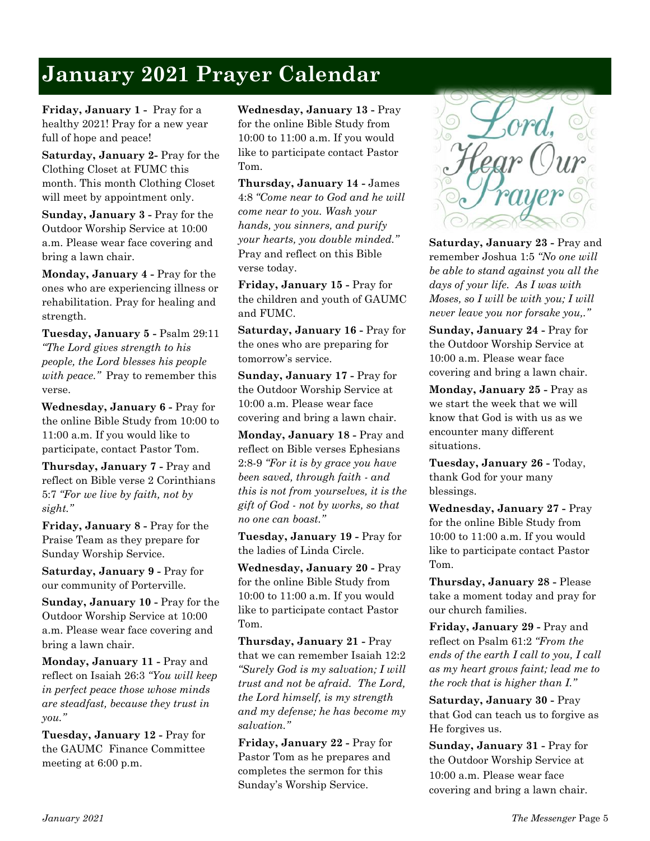# **January 2021 Prayer Calendar**

**Friday, January 1 -** Pray for a healthy 2021! Pray for a new year full of hope and peace!

**Saturday, January 2-** Pray for the Clothing Closet at FUMC this month. This month Clothing Closet will meet by appointment only.

**Sunday, January 3 -** Pray for the Outdoor Worship Service at 10:00 a.m. Please wear face covering and bring a lawn chair.

**Monday, January 4 -** Pray for the ones who are experiencing illness or rehabilitation. Pray for healing and strength.

**Tuesday, January 5 -** Psalm 29:11 *"The Lord gives strength to his people, the Lord blesses his people with peace."* Pray to remember this verse.

**Wednesday, January 6 -** Pray for the online Bible Study from 10:00 to 11:00 a.m. If you would like to participate, contact Pastor Tom.

**Thursday, January 7 -** Pray and reflect on Bible verse 2 Corinthians 5:7 *"For we live by faith, not by sight."*

**Friday, January 8 -** Pray for the Praise Team as they prepare for Sunday Worship Service.

**Saturday, January 9 -** Pray for our community of Porterville.

**Sunday, January 10 -** Pray for the Outdoor Worship Service at 10:00 a.m. Please wear face covering and bring a lawn chair.

**Monday, January 11 -** Pray and reflect on Isaiah 26:3 *"You will keep in perfect peace those whose minds are steadfast, because they trust in you."*

**Tuesday, January 12 -** Pray for the GAUMC Finance Committee meeting at 6:00 p.m.

**Wednesday, January 13 -** Pray for the online Bible Study from 10:00 to 11:00 a.m. If you would like to participate contact Pastor Tom.

**Thursday, January 14 -** James 4:8 *"Come near to God and he will come near to you. Wash your hands, you sinners, and purify your hearts, you double minded."*  Pray and reflect on this Bible verse today.

**Friday, January 15 -** Pray for the children and youth of GAUMC and FUMC.

**Saturday, January 16 -** Pray for the ones who are preparing for tomorrow's service.

**Sunday, January 17 -** Pray for the Outdoor Worship Service at 10:00 a.m. Please wear face covering and bring a lawn chair.

**Monday, January 18 -** Pray and reflect on Bible verses Ephesians 2:8-9 *"For it is by grace you have been saved, through faith - and this is not from yourselves, it is the gift of God - not by works, so that no one can boast."*

**Tuesday, January 19 -** Pray for the ladies of Linda Circle.

**Wednesday, January 20 -** Pray for the online Bible Study from 10:00 to 11:00 a.m. If you would like to participate contact Pastor Tom.

**Thursday, January 21 -** Pray that we can remember Isaiah 12:2 *"Surely God is my salvation; I will trust and not be afraid. The Lord, the Lord himself, is my strength and my defense; he has become my salvation."*

**Friday, January 22 -** Pray for Pastor Tom as he prepares and completes the sermon for this Sunday's Worship Service.



**Saturday, January 23 -** Pray and remember Joshua 1:5 *"No one will be able to stand against you all the days of your life. As I was with Moses, so I will be with you; I will never leave you nor forsake you,."*

**Sunday, January 24 -** Pray for the Outdoor Worship Service at 10:00 a.m. Please wear face covering and bring a lawn chair.

**Monday, January 25 -** Pray as we start the week that we will know that God is with us as we encounter many different situations.

**Tuesday, January 26 -** Today, thank God for your many blessings.

**Wednesday, January 27 -** Pray for the online Bible Study from 10:00 to 11:00 a.m. If you would like to participate contact Pastor Tom.

**Thursday, January 28 -** Please take a moment today and pray for our church families.

**Friday, January 29 -** Pray and reflect on Psalm 61:2 *"From the ends of the earth I call to you, I call as my heart grows faint; lead me to the rock that is higher than I."*

**Saturday, January 30 -** Pray that God can teach us to forgive as He forgives us.

**Sunday, January 31 -** Pray for the Outdoor Worship Service at 10:00 a.m. Please wear face covering and bring a lawn chair.